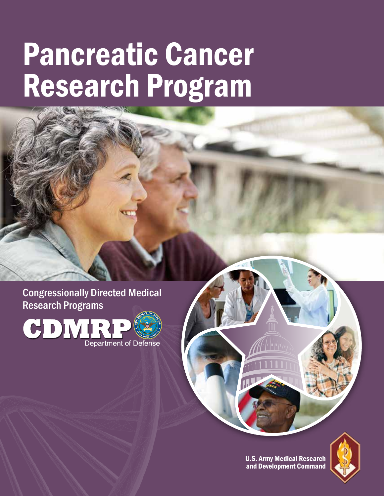# Pancreatic Cancer Research Program

Congressionally Directed Medical Research Programs



U.S. Army Medical Research and Development Command

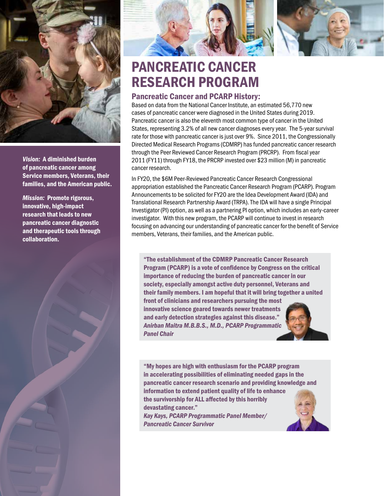

*Vision:* A diminished burden of pancreatic cancer among Service members, Veterans, their families, and the American public.

*Mission:* Promote rigorous, innovative, high-impact research that leads to new pancreatic cancer diagnostic and therapeutic tools through collaboration.





## PANCREATIC CANCER RESEARCH PROGRAM

### Pancreatic Cancer and PCARP History:

Based on data from the National Cancer Institute, an estimated 56,770 new cases of pancreatic cancer were diagnosed in the United States during 2019. Pancreatic cancer is also the eleventh most common type of cancer in the United States, representing 3.2% of all new cancer diagnoses every year. The 5-year survival rate for those with pancreatic cancer is just over 9%. Since 2011, the Congressionally Directed Medical Research Programs (CDMRP) has funded pancreatic cancer research through the Peer Reviewed Cancer Research Program (PRCRP). From fiscal year 2011 (FY11) through FY18, the PRCRP invested over \$23 million (M) in pancreatic cancer research.

In FY20, the \$6M Peer-Reviewed Pancreatic Cancer Research Congressional appropriation established the Pancreatic Cancer Research Program (PCARP). Program Announcements to be solicited for FY20 are the Idea Development Award (IDA) and Translational Research Partnership Award (TRPA). The IDA will have a single Principal Investigator (PI) option, as well as a partnering PI option, which includes an early-career investigator. With this new program, the PCARP will continue to invest in research focusing on advancing our understanding of pancreatic cancer for the benefit of Service members, Veterans, their families, and the American public.

"The establishment of the CDMRP Pancreatic Cancer Research Program (PCARP) is a vote of confidence by Congress on the critical importance of reducing the burden of pancreatic cancer in our society, especially amongst active duty personnel, Veterans and their family members. I am hopeful that it will bring together a united

front of clinicians and researchers pursuing the most innovative science geared towards newer treatments and early detection strategies against this disease." *Anirban Maitra M.B.B.S., M.D., PCARP Programmatic Panel Chair*



"My hopes are high with enthusiasm for the PCARP program in accelerating possibilities of eliminating needed gaps in the pancreatic cancer research scenario and providing knowledge and information to extend patient quality of life to enhance the survivorship for ALL affected by this horribly devastating cancer." *Kay Kays, PCARP Programmatic Panel Member/ Pancreatic Cancer Survivor*

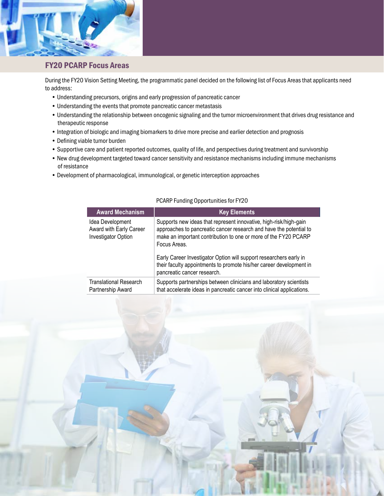

#### FY20 PCARP Focus Areas

During the FY20 Vision Setting Meeting, the programmatic panel decided on the following list of Focus Areas that applicants need to address:

- Understanding precursors, origins and early progression of pancreatic cancer
- Understanding the events that promote pancreatic cancer metastasis
- Understanding the relationship between oncogenic signaling and the tumor microenvironment that drives drug resistance and therapeutic response
- Integration of biologic and imaging biomarkers to drive more precise and earlier detection and prognosis
- Defining viable tumor burden
- Supportive care and patient reported outcomes, quality of life, and perspectives during treatment and survivorship
- New drug development targeted toward cancer sensitivity and resistance mechanisms including immune mechanisms of resistance
- Development of pharmacological, immunological, or genetic interception approaches

| <b>Award Mechanism</b>                                                    | <b>Key Elements</b>                                                                                                                                                                                                                                                                                                                                                                                    |
|---------------------------------------------------------------------------|--------------------------------------------------------------------------------------------------------------------------------------------------------------------------------------------------------------------------------------------------------------------------------------------------------------------------------------------------------------------------------------------------------|
| Idea Development<br>Award with Early Career<br><b>Investigator Option</b> | Supports new ideas that represent innovative, high-risk/high-gain<br>approaches to pancreatic cancer research and have the potential to<br>make an important contribution to one or more of the FY20 PCARP<br>Focus Areas.<br>Early Career Investigator Option will support researchers early in<br>their faculty appointments to promote his/her career development in<br>pancreatic cancer research. |
| Translational Research<br>Partnership Award                               | Supports partnerships between clinicians and laboratory scientists<br>that accelerate ideas in pancreatic cancer into clinical applications.                                                                                                                                                                                                                                                           |

#### PCARP Funding Opportunities for FY20